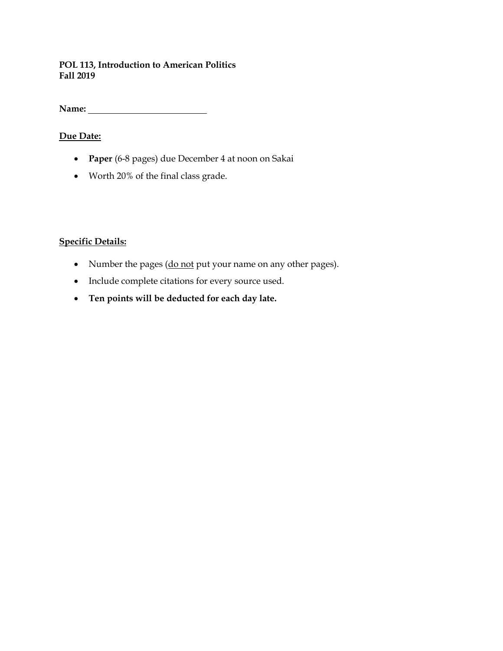### **POL 113, Introduction to American Politics Fall 2019**

**Name:** 

# **Due Date:**

- **Paper** (6-8 pages) due December 4 at noon on Sakai
- Worth 20% of the final class grade.

# **Specific Details:**

- Number the pages (do not put your name on any other pages).
- Include complete citations for every source used.
- **Ten points will be deducted for each day late.**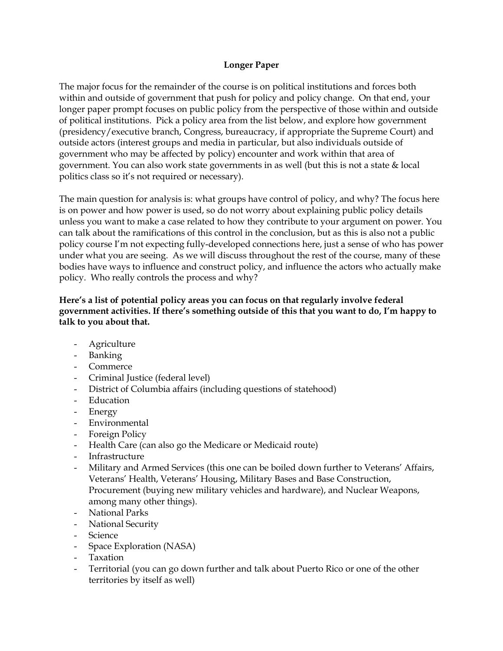### **Longer Paper**

The major focus for the remainder of the course is on political institutions and forces both within and outside of government that push for policy and policy change. On that end, your longer paper prompt focuses on public policy from the perspective of those within and outside of political institutions. Pick a policy area from the list below, and explore how government (presidency/executive branch, Congress, bureaucracy, if appropriate the Supreme Court) and outside actors (interest groups and media in particular, but also individuals outside of government who may be affected by policy) encounter and work within that area of government. You can also work state governments in as well (but this is not a state & local politics class so it's not required or necessary).

The main question for analysis is: what groups have control of policy, and why? The focus here is on power and how power is used, so do not worry about explaining public policy details unless you want to make a case related to how they contribute to your argument on power. You can talk about the ramifications of this control in the conclusion, but as this is also not a public policy course I'm not expecting fully-developed connections here, just a sense of who has power under what you are seeing. As we will discuss throughout the rest of the course, many of these bodies have ways to influence and construct policy, and influence the actors who actually make policy. Who really controls the process and why?

### **Here's a list of potential policy areas you can focus on that regularly involve federal government activities. If there's something outside of this that you want to do, I'm happy to talk to you about that.**

- Agriculture
- Banking
- Commerce
- Criminal Justice (federal level)
- District of Columbia affairs (including questions of statehood)
- Education
- Energy
- Environmental
- Foreign Policy
- Health Care (can also go the Medicare or Medicaid route)
- Infrastructure
- Military and Armed Services (this one can be boiled down further to Veterans' Affairs, Veterans' Health, Veterans' Housing, Military Bases and Base Construction, Procurement (buying new military vehicles and hardware), and Nuclear Weapons, among many other things).
- National Parks
- National Security
- Science
- Space Exploration (NASA)
- Taxation
- Territorial (you can go down further and talk about Puerto Rico or one of the other territories by itself as well)